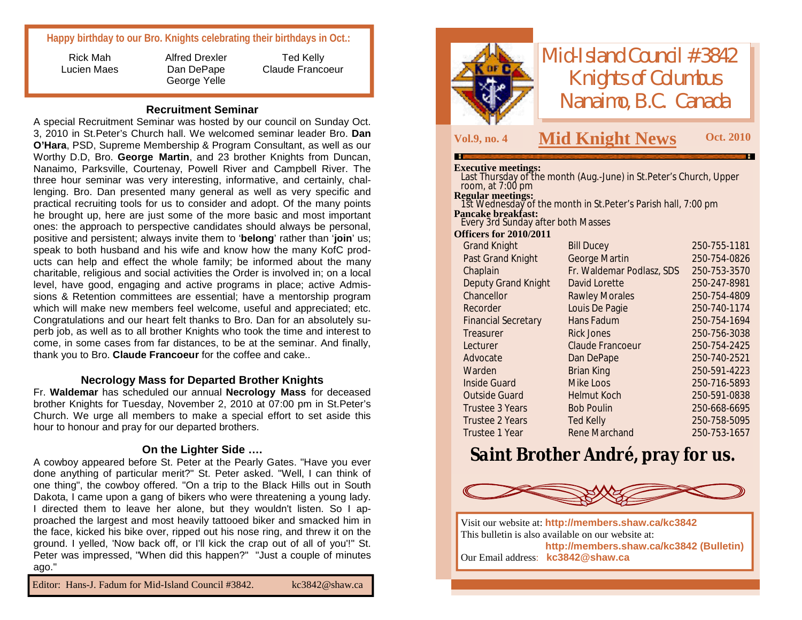# **Happy birthday to our Bro. Knights celebrating their birthdays in Oct.:**

Rick Mah Lucien Maes Alfred Drexler Dan DePape George Yelle

Ted Kelly Claude Francoeur

#### **Recruitment Seminar**

A special Recruitment Seminar was hosted by our council on Sunday Oct. 3, 2010 in St.Peter's Church hall. We welcomed seminar leader Bro. **Dan O'Hara**, PSD, Supreme Membership & Program Consultant, as well as our Worthy D.D, Bro. **George Martin**, and 23 brother Knights from Duncan, Nanaimo, Parksville, Courtenay, Powell River and Campbell River. The three hour seminar was very interesting, informative, and certainly, challenging. Bro. Dan presented many general as well as very specific and practical recruiting tools for us to consider and adopt. Of the many points he brought up, here are just some of the more basic and most important ones: the approach to perspective candidates should always be personal, positive and persistent; always invite them to '**belong**' rather than '**join**' us; speak to both husband and his wife and know how the many KofC products can help and effect the whole family; be informed about the many charitable, religious and social activities the Order is involved in; on a local level, have good, engaging and active programs in place; active Admissions & Retention committees are essential; have a mentorship program which will make new members feel welcome, useful and appreciated; etc. Congratulations and our heart felt thanks to Bro. Dan for an absolutely superb job, as well as to all brother Knights who took the time and interest to come, in some cases from far distances, to be at the seminar. And finally, thank you to Bro. **Claude Francoeur** for the coffee and cake..

#### **Necrology Mass for Departed Brother Knights**

Fr. **Waldemar** has scheduled our annual **Necrology Mass** for deceased brother Knights for Tuesday, November 2, 2010 at 07:00 pm in St.Peter's Church. We urge all members to make a special effort to set aside this hour to honour and pray for our departed brothers.

#### **On the Lighter Side ….**

A cowboy appeared before St. Peter at the Pearly Gates. "Have you ever done anything of particular merit?" St. Peter asked. "Well, I can think of one thing", the cowboy offered. "On a trip to the Black Hills out in South Dakota, I came upon a gang of bikers who were threatening a young lady. I directed them to leave her alone, but they wouldn't listen. So I approached the largest and most heavily tattooed biker and smacked him in the face, kicked his bike over, ripped out his nose ring, and threw it on the ground. I yelled, 'Now back off, or I'll kick the crap out of all of you'!" St. Peter was impressed, "When did this happen?" "Just a couple of minutes ago."

Editor: Hans-J. Fadum for Mid-Island Council #3842. [kc3842@shaw.ca](mailto:kc3842@shaw.ca)



*Mid-Island Council #3842 Knights of Columbus Nanaimo, B.C. Canada*

# **Vol.9, no. <sup>4</sup> M Oct. <sup>2010</sup> id Knight News**

#### **Executive meetings:**

| Last Thursday of the month (Aug.-June) in St.Peter's Church, Upper<br>room, at $7:00 \text{ pm}$ |                           |              |
|--------------------------------------------------------------------------------------------------|---------------------------|--------------|
| <b>Regular meetings:</b><br>1st Wednesday of the month in St.Peter's Parish hall, 7:00 pm        |                           |              |
| <b>Pancake breakfast:</b>                                                                        |                           |              |
| Every 3rd Sunday after both Masses                                                               |                           |              |
| <b>Officers for 2010/2011</b>                                                                    |                           |              |
| <b>Grand Knight</b>                                                                              | <b>Bill Ducey</b>         | 250-755-1181 |
| Past Grand Knight                                                                                | George Martin             | 250-754-0826 |
| Chaplain                                                                                         | Fr. Waldemar Podlasz, SDS | 250-753-3570 |
| <b>Deputy Grand Knight</b>                                                                       | David Lorette             | 250-247-8981 |
| Chancellor                                                                                       | <b>Rawley Morales</b>     | 250-754-4809 |
| Recorder                                                                                         | Louis De Pagie            | 250-740-1174 |
| <b>Financial Secretary</b>                                                                       | Hans Fadum                | 250-754-1694 |
| Treasurer                                                                                        | <b>Rick Jones</b>         | 250-756-3038 |
| Lecturer                                                                                         | Claude Francoeur          | 250-754-2425 |
| Advocate                                                                                         | Dan DePape                | 250-740-2521 |
| Warden                                                                                           | <b>Brian King</b>         | 250-591-4223 |
| <b>Inside Guard</b>                                                                              | Mike Loos                 | 250-716-5893 |
| <b>Outside Guard</b>                                                                             | Helmut Koch               | 250-591-0838 |
| Trustee 3 Years                                                                                  | <b>Bob Poulin</b>         | 250-668-6695 |
| Trustee 2 Years                                                                                  | Ted Kelly                 | 250-758-5095 |
| Trustee 1 Year                                                                                   | Rene Marchand             | 250-753-1657 |

# *Saint Brother André, pray for us.*



Visit our website at: **<http://members.shaw.ca/kc3842>** This bulletin is also available on our website at: **<http://members.shaw.ca/kc3842> (Bulletin)** Our Email address: **[kc3842@shaw.ca](mailto:kc3842@shaw.ca)**